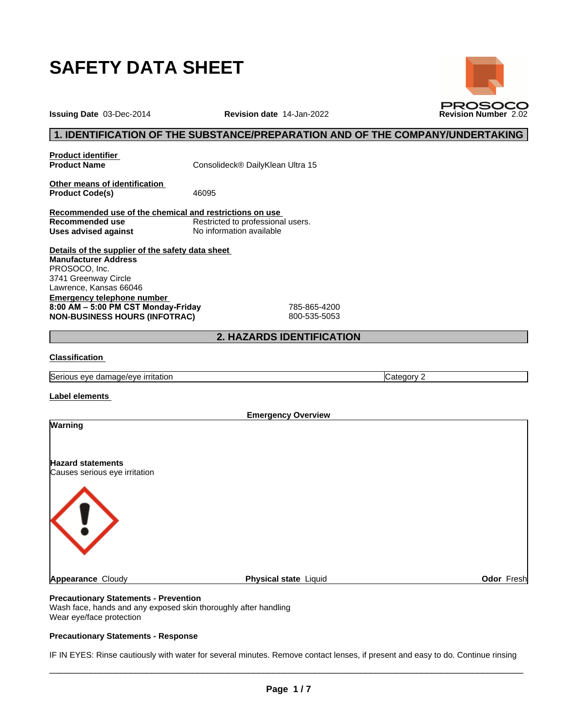

**Issuing Date** 03-Dec-2014 **Revision date** 14-Jan-2022 **Revision Number** 2.02

# **1. IDENTIFICATION OF THE SUBSTANCE/PREPARATION AND OF THE COMPANY/UNDERTAKING**

**PROSOCO** 

**Product identifier**

**Product Name** Consolideck® DailyKlean Ultra 15

**Other means of identification** Product Code(s) 46095

**Recommended use of the chemical and restrictions on use Restricted to professional users. Uses advised against** No information available

**Details of the supplier of the safety data sheet Emergency telephone number 8:00AM–5:00PMCSTMonday-Friday** 785-865-4200 **NON-BUSINESS HOURS (INFOTRAC)** 800-535-5053 **Manufacturer Address** PROSOCO, Inc. 3741 Greenway Circle Lawrence, Kansas 66046

# **2. HAZARDS IDENTIFICATION**

# **Classification**

Serious eye damage/eye irritation Category 2 and Category 2

## **Label elements**

|                                                           |                       | <b>Emergency Overview</b> |  |
|-----------------------------------------------------------|-----------------------|---------------------------|--|
| <b>Warning</b>                                            |                       |                           |  |
| <b>Hazard statements</b><br>Causes serious eye irritation |                       |                           |  |
|                                                           |                       |                           |  |
| <b>Appearance Cloudy</b>                                  | Physical state Liquid | Odor Fresh                |  |

# **Precautionary Statements - Prevention**

Wash face, hands and any exposed skin thoroughly after handling Wear eye/face protection

## **Precautionary Statements - Response**

IF IN EYES: Rinse cautiously with water for several minutes. Remove contact lenses, if present and easy to do. Continue rinsing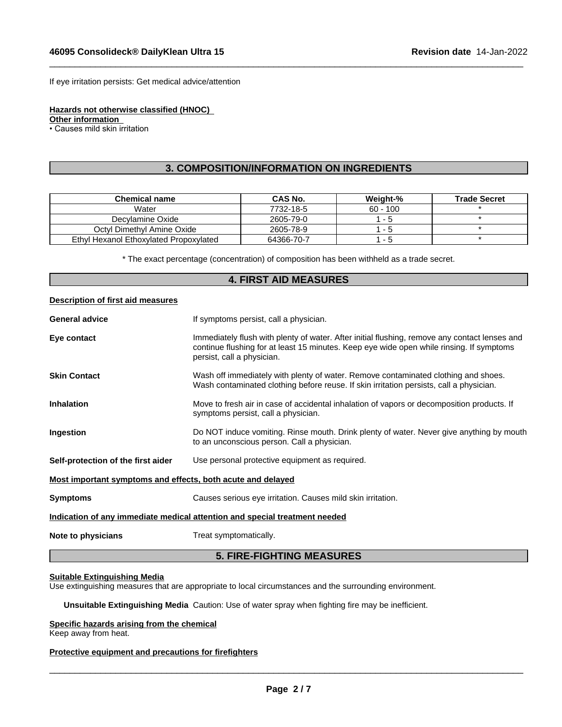If eye irritation persists: Get medical advice/attention

**Hazards not otherwise classified (HNOC)**

**Other information**

• Causes mild skin irritation

# **3. COMPOSITION/INFORMATION ON INGREDIENTS**

 $\_$  ,  $\_$  ,  $\_$  ,  $\_$  ,  $\_$  ,  $\_$  ,  $\_$  ,  $\_$  ,  $\_$  ,  $\_$  ,  $\_$  ,  $\_$  ,  $\_$  ,  $\_$  ,  $\_$  ,  $\_$  ,  $\_$  ,  $\_$  ,  $\_$  ,  $\_$  ,  $\_$  ,  $\_$  ,  $\_$  ,  $\_$  ,  $\_$  ,  $\_$  ,  $\_$  ,  $\_$  ,  $\_$  ,  $\_$  ,  $\_$  ,  $\_$  ,  $\_$  ,  $\_$  ,  $\_$  ,  $\_$  ,  $\_$  ,

| <b>Chemical name</b>                   | <b>CAS No.</b> | Weight-%   | <b>Trade Secret</b> |
|----------------------------------------|----------------|------------|---------------------|
| Water                                  | 7732-18-5      | $60 - 100$ |                     |
| Decvlamine Oxide                       | 2605-79-0      | - 5        |                     |
| Octyl Dimethyl Amine Oxide             | 2605-78-9      | - 5        |                     |
| Ethyl Hexanol Ethoxylated Propoxylated | 64366-70-7     | - 5        |                     |

\* The exact percentage (concentration) ofcomposition has been withheld as a trade secret.

# **4. FIRST AID MEASURES**

# **Description of first aid measures**

| <b>General advice</b>                                       | If symptoms persist, call a physician.                                                                                                                                                                                  |
|-------------------------------------------------------------|-------------------------------------------------------------------------------------------------------------------------------------------------------------------------------------------------------------------------|
| Eye contact                                                 | Immediately flush with plenty of water. After initial flushing, remove any contact lenses and<br>continue flushing for at least 15 minutes. Keep eye wide open while rinsing. If symptoms<br>persist, call a physician. |
| <b>Skin Contact</b>                                         | Wash off immediately with plenty of water. Remove contaminated clothing and shoes.<br>Wash contaminated clothing before reuse. If skin irritation persists, call a physician.                                           |
| <b>Inhalation</b>                                           | Move to fresh air in case of accidental inhalation of vapors or decomposition products. If<br>symptoms persist, call a physician.                                                                                       |
| Ingestion                                                   | Do NOT induce vomiting. Rinse mouth. Drink plenty of water. Never give anything by mouth<br>to an unconscious person. Call a physician.                                                                                 |
| Self-protection of the first aider                          | Use personal protective equipment as required.                                                                                                                                                                          |
| Most important symptoms and effects, both acute and delayed |                                                                                                                                                                                                                         |
| <b>Symptoms</b>                                             | Causes serious eye irritation. Causes mild skin irritation.                                                                                                                                                             |
|                                                             | Indication of any immediate medical attention and special treatment needed                                                                                                                                              |
| Note to physicians                                          | Treat symptomatically.                                                                                                                                                                                                  |

# **5. FIRE-FIGHTING MEASURES**

## **Suitable Extinguishing Media**

Use extinguishing measures that are appropriate to local circumstances and the surrounding environment.

**Unsuitable Extinguishing Media** Caution: Use of water spray when fighting fire may be inefficient.

# **Specific hazards arising from the chemical**

Keep away from heat.

# **Protective equipment and precautions for firefighters**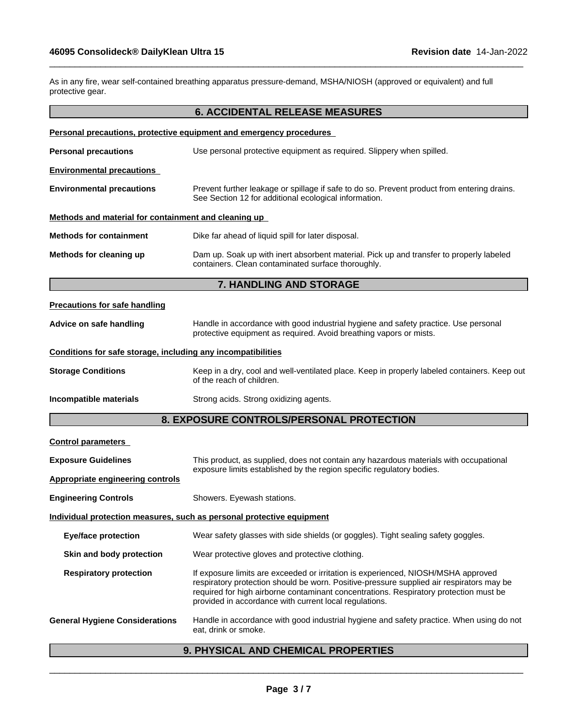As in any fire, wear self-contained breathing apparatus pressure-demand, MSHA/NIOSH (approved or equivalent) and full protective gear.

 $\_$  ,  $\_$  ,  $\_$  ,  $\_$  ,  $\_$  ,  $\_$  ,  $\_$  ,  $\_$  ,  $\_$  ,  $\_$  ,  $\_$  ,  $\_$  ,  $\_$  ,  $\_$  ,  $\_$  ,  $\_$  ,  $\_$  ,  $\_$  ,  $\_$  ,  $\_$  ,  $\_$  ,  $\_$  ,  $\_$  ,  $\_$  ,  $\_$  ,  $\_$  ,  $\_$  ,  $\_$  ,  $\_$  ,  $\_$  ,  $\_$  ,  $\_$  ,  $\_$  ,  $\_$  ,  $\_$  ,  $\_$  ,  $\_$  ,

|                                                              | <b>6. ACCIDENTAL RELEASE MEASURES</b>                                                                                                                                                                                                                                                                                            |
|--------------------------------------------------------------|----------------------------------------------------------------------------------------------------------------------------------------------------------------------------------------------------------------------------------------------------------------------------------------------------------------------------------|
|                                                              | Personal precautions, protective equipment and emergency procedures                                                                                                                                                                                                                                                              |
| <b>Personal precautions</b>                                  | Use personal protective equipment as required. Slippery when spilled.                                                                                                                                                                                                                                                            |
| <b>Environmental precautions</b>                             |                                                                                                                                                                                                                                                                                                                                  |
| <b>Environmental precautions</b>                             | Prevent further leakage or spillage if safe to do so. Prevent product from entering drains.<br>See Section 12 for additional ecological information.                                                                                                                                                                             |
| Methods and material for containment and cleaning up         |                                                                                                                                                                                                                                                                                                                                  |
| <b>Methods for containment</b>                               | Dike far ahead of liquid spill for later disposal.                                                                                                                                                                                                                                                                               |
| Methods for cleaning up                                      | Dam up. Soak up with inert absorbent material. Pick up and transfer to properly labeled<br>containers. Clean contaminated surface thoroughly.                                                                                                                                                                                    |
|                                                              | 7. HANDLING AND STORAGE                                                                                                                                                                                                                                                                                                          |
| <b>Precautions for safe handling</b>                         |                                                                                                                                                                                                                                                                                                                                  |
| Advice on safe handling                                      | Handle in accordance with good industrial hygiene and safety practice. Use personal<br>protective equipment as required. Avoid breathing vapors or mists.                                                                                                                                                                        |
| Conditions for safe storage, including any incompatibilities |                                                                                                                                                                                                                                                                                                                                  |
| <b>Storage Conditions</b>                                    | Keep in a dry, cool and well-ventilated place. Keep in properly labeled containers. Keep out<br>of the reach of children.                                                                                                                                                                                                        |
| Incompatible materials                                       | Strong acids. Strong oxidizing agents.                                                                                                                                                                                                                                                                                           |
|                                                              | 8. EXPOSURE CONTROLS/PERSONAL PROTECTION                                                                                                                                                                                                                                                                                         |
| <b>Control parameters</b>                                    |                                                                                                                                                                                                                                                                                                                                  |
| <b>Exposure Guidelines</b>                                   | This product, as supplied, does not contain any hazardous materials with occupational                                                                                                                                                                                                                                            |
| <b>Appropriate engineering controls</b>                      | exposure limits established by the region specific regulatory bodies.                                                                                                                                                                                                                                                            |
| <b>Engineering Controls</b>                                  | Showers. Eyewash stations.                                                                                                                                                                                                                                                                                                       |
|                                                              | Individual protection measures, such as personal protective equipment                                                                                                                                                                                                                                                            |
| <b>Eye/face protection</b>                                   | Wear safety glasses with side shields (or goggles). Tight sealing safety goggles.                                                                                                                                                                                                                                                |
| Skin and body protection                                     | Wear protective gloves and protective clothing.                                                                                                                                                                                                                                                                                  |
| <b>Respiratory protection</b>                                | If exposure limits are exceeded or irritation is experienced, NIOSH/MSHA approved<br>respiratory protection should be worn. Positive-pressure supplied air respirators may be<br>required for high airborne contaminant concentrations. Respiratory protection must be<br>provided in accordance with current local regulations. |
| <b>General Hygiene Considerations</b>                        | Handle in accordance with good industrial hygiene and safety practice. When using do not<br>eat, drink or smoke.                                                                                                                                                                                                                 |

# **9. PHYSICAL AND CHEMICAL PROPERTIES**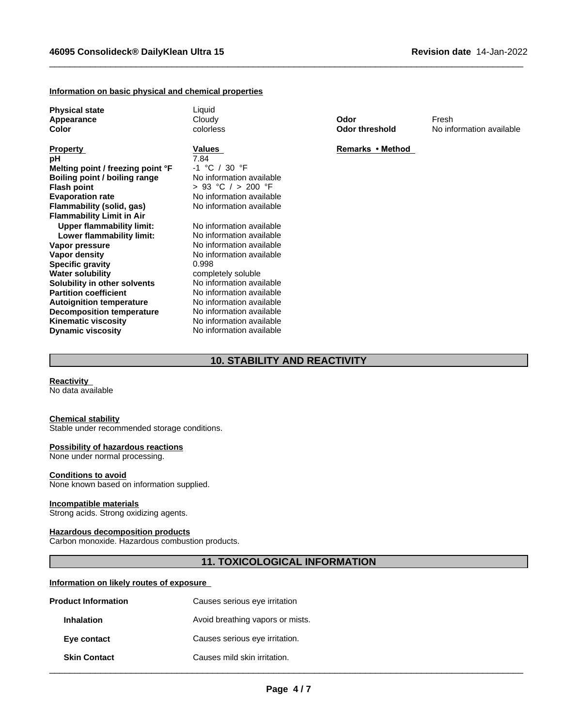#### **Information on basic physical and chemical properties**

**Physical state** Liquid

**Property Remarks • Method Values** *Remarks • Method* **<b>pH pH** 7.84 **Melting point / freezing point °F** -1 °C / 30 °F **Boiling point / boiling range<br>Flash point Flash point**  $\begin{array}{ccc} 5 & 93 \text{ °C} & / & > 200 \text{ °F} \\ \text{Exaporation rate} & \text{No information available} \end{array}$ **Flammability** (solid, gas) **Flammability Limit in Air Upper flammability limit:** No information available<br> **Lower flammability limit:** No information available **Lower flammability limit: Vapor pressure** No information available **Vapor density** No information available **Specific gravity** 0.998<br> **Water solubility** compl **Solubility in other solvents**<br>**Partition coefficient Autoignition temperature Decomposition temperature** No information available **Kinematic viscosity** No information available **Dynamic viscosity** No information available

No information available<br>No information available

completely soluble<br>No information available No information available<br>No information available

 $\_$  ,  $\_$  ,  $\_$  ,  $\_$  ,  $\_$  ,  $\_$  ,  $\_$  ,  $\_$  ,  $\_$  ,  $\_$  ,  $\_$  ,  $\_$  ,  $\_$  ,  $\_$  ,  $\_$  ,  $\_$  ,  $\_$  ,  $\_$  ,  $\_$  ,  $\_$  ,  $\_$  ,  $\_$  ,  $\_$  ,  $\_$  ,  $\_$  ,  $\_$  ,  $\_$  ,  $\_$  ,  $\_$  ,  $\_$  ,  $\_$  ,  $\_$  ,  $\_$  ,  $\_$  ,  $\_$  ,  $\_$  ,  $\_$  ,

**Appearance** Cloudy **Odor** Fresh **Color** colorless **Odor threshold** No information available

# **10. STABILITY AND REACTIVITY**

**Reactivity**

No data available

#### **Chemical stability**

Stable under recommended storage conditions.

#### **Possibility of hazardous reactions**

None under normal processing.

#### **Conditions to avoid**

None known based on information supplied.

#### **Incompatible materials**

Strong acids. Strong oxidizing agents.

#### **Hazardous decomposition products**

Carbon monoxide. Hazardous combustion products.

# **11. TOXICOLOGICAL INFORMATION**

## **Information on likely routes of exposure**

| <b>Product Information</b> | Causes serious eye irritation    |  |
|----------------------------|----------------------------------|--|
| <b>Inhalation</b>          | Avoid breathing vapors or mists. |  |
| Eye contact                | Causes serious eye irritation.   |  |
| <b>Skin Contact</b>        | Causes mild skin irritation.     |  |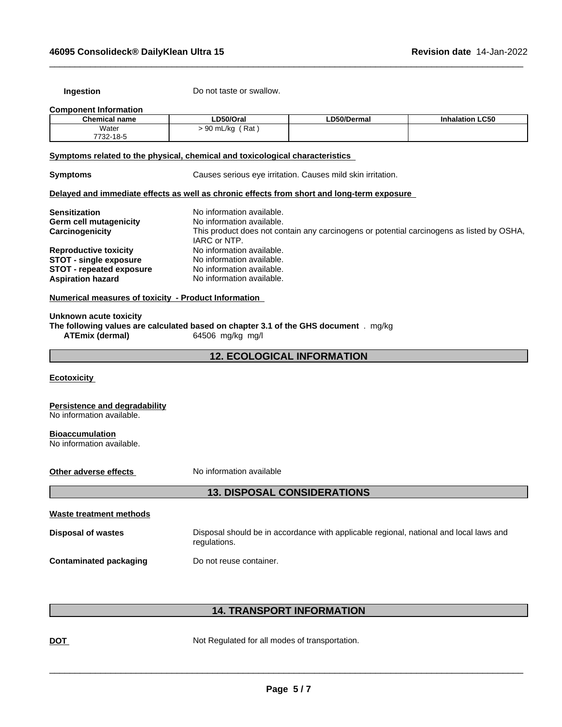**Ingestion** Do not taste or swallow.

#### **Component Information**

| <b>Chemical name</b> | D50/Oral                          | LD50/Dermal | <b>Inhalation LC50</b> |
|----------------------|-----------------------------------|-------------|------------------------|
| Water<br>.           | ഹ<br>Rat<br>, mL/ka<br>ັບປ<br>. . |             |                        |
| 7732-18-5            |                                   |             |                        |

 $\_$  ,  $\_$  ,  $\_$  ,  $\_$  ,  $\_$  ,  $\_$  ,  $\_$  ,  $\_$  ,  $\_$  ,  $\_$  ,  $\_$  ,  $\_$  ,  $\_$  ,  $\_$  ,  $\_$  ,  $\_$  ,  $\_$  ,  $\_$  ,  $\_$  ,  $\_$  ,  $\_$  ,  $\_$  ,  $\_$  ,  $\_$  ,  $\_$  ,  $\_$  ,  $\_$  ,  $\_$  ,  $\_$  ,  $\_$  ,  $\_$  ,  $\_$  ,  $\_$  ,  $\_$  ,  $\_$  ,  $\_$  ,  $\_$  ,

# **<u>Symptoms related to the physical, chemical and toxicological characteristics</u>**

**Symptoms Causes serious eye irritation. Causes mild skin irritation.** 

#### **Delayed and immediate effects as well as chronic effects from short and long-term exposure**

| Sensitization                   | No information available.<br>No information available.                                    |
|---------------------------------|-------------------------------------------------------------------------------------------|
| <b>Germ cell mutagenicity</b>   |                                                                                           |
| Carcinogenicity                 | This product does not contain any carcinogens or potential carcinogens as listed by OSHA, |
|                                 | IARC or NTP.                                                                              |
| <b>Reproductive toxicity</b>    | No information available.                                                                 |
| <b>STOT - single exposure</b>   | No information available.                                                                 |
| <b>STOT</b> - repeated exposure | No information available.                                                                 |
| <b>Aspiration hazard</b>        | No information available.                                                                 |

## **Numerical measures of toxicity - Product Information**

**Unknown acute toxicity The following values are calculated based on chapter 3.1 of the GHS document** . mg/kg **ATEmix (dermal)**64506 mg/kg mg/l

# **12. ECOLOGICAL INFORMATION**

**Ecotoxicity** 

#### **Persistence and degradability** No information available.

#### **Bioaccumulation** No information available.

**Other adverse effects** No information available

# **13. DISPOSAL CONSIDERATIONS**

| Waste treatment methods       |                                                                                                        |
|-------------------------------|--------------------------------------------------------------------------------------------------------|
| <b>Disposal of wastes</b>     | Disposal should be in accordance with applicable regional, national and local laws and<br>regulations. |
| <b>Contaminated packaging</b> | Do not reuse container.                                                                                |

# **14. TRANSPORT INFORMATION**

**DOT** Not Regulated for all modes of transportation.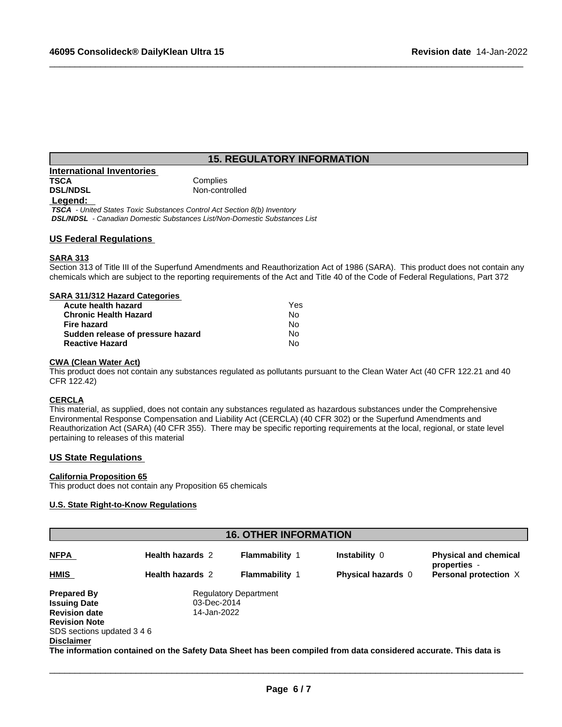# **15. REGULATORY INFORMATION**

 $\_$  ,  $\_$  ,  $\_$  ,  $\_$  ,  $\_$  ,  $\_$  ,  $\_$  ,  $\_$  ,  $\_$  ,  $\_$  ,  $\_$  ,  $\_$  ,  $\_$  ,  $\_$  ,  $\_$  ,  $\_$  ,  $\_$  ,  $\_$  ,  $\_$  ,  $\_$  ,  $\_$  ,  $\_$  ,  $\_$  ,  $\_$  ,  $\_$  ,  $\_$  ,  $\_$  ,  $\_$  ,  $\_$  ,  $\_$  ,  $\_$  ,  $\_$  ,  $\_$  ,  $\_$  ,  $\_$  ,  $\_$  ,  $\_$  ,

| International Inventories |                |
|---------------------------|----------------|
| <b>TSCA</b>               | Complies       |
| <b>DSL/NDSL</b>           | Non-controlled |
| Legend:                   |                |

 *TSCA - United States Toxic Substances Control Act Section 8(b) Inventory DSL/NDSL - Canadian Domestic Substances List/Non-Domestic Substances List*

## **US Federal Regulations**

#### **SARA 313**

Section 313 of Title III of the Superfund Amendments and Reauthorization Act of 1986 (SARA). This product does not contain any chemicals which are subject to the reporting requirements of the Act and Title 40 of the Code of Federal Regulations, Part 372

## **SARA 311/312 Hazard Categories**

| Acute health hazard               | Yes |  |
|-----------------------------------|-----|--|
| Chronic Health Hazard             | No. |  |
| Fire hazard                       | No. |  |
| Sudden release of pressure hazard | No. |  |
| <b>Reactive Hazard</b>            | N٥  |  |

#### **CWA** (Clean Water Act)

This product does not contain any substances regulated as pollutants pursuant to the Clean Water Act (40 CFR 122.21 and 40 CFR 122.42)

#### **CERCLA**

This material, as supplied, does not contain any substances regulated as hazardous substances under the Comprehensive Environmental Response Compensation and Liability Act (CERCLA) (40 CFR 302) or the Superfund Amendments and Reauthorization Act (SARA) (40 CFR 355). There may be specific reporting requirements at the local, regional, or state level pertaining to releases of this material

## **US State Regulations**

#### **California Proposition 65**

This product does not contain any Proposition 65 chemicals

# **U.S. State Right-to-Know Regulations**

| <b>16. OTHER INFORMATION</b> |                         |                              |                                                                                                                  |                                              |
|------------------------------|-------------------------|------------------------------|------------------------------------------------------------------------------------------------------------------|----------------------------------------------|
| <b>NFPA</b>                  | <b>Health hazards 2</b> | <b>Flammability 1</b>        | <b>Instability 0</b>                                                                                             | <b>Physical and chemical</b><br>properties - |
| <b>HMIS</b>                  | <b>Health hazards 2</b> | <b>Flammability 1</b>        | <b>Physical hazards</b> 0                                                                                        | Personal protection X                        |
| <b>Prepared By</b>           |                         | <b>Regulatory Department</b> |                                                                                                                  |                                              |
| <b>Issuing Date</b>          | 03-Dec-2014             |                              |                                                                                                                  |                                              |
| <b>Revision date</b>         | 14-Jan-2022             |                              |                                                                                                                  |                                              |
| <b>Revision Note</b>         |                         |                              |                                                                                                                  |                                              |
| SDS sections updated 3 4 6   |                         |                              |                                                                                                                  |                                              |
| <b>Disclaimer</b>            |                         |                              |                                                                                                                  |                                              |
|                              |                         |                              | The information contained on the Safety Data Sheet has been compiled from data considered accurate. This data is |                                              |